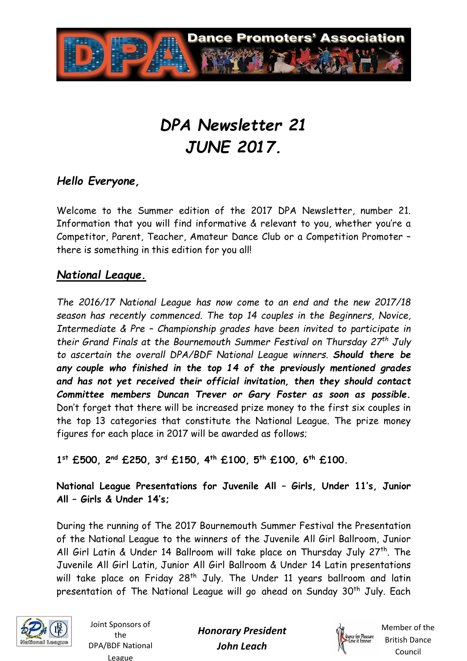

# *DPA Newsletter 21 JUNE 2017.*

# *Hello Everyone,*

Welcome to the Summer edition of the 2017 DPA Newsletter, number 21. Information that you will find informative & relevant to you, whether you're a Competitor, Parent, Teacher, Amateur Dance Club or a Competition Promoter – there is something in this edition for you all!

#### *National League.*

*The 2016/17 National League has now come to an end and the new 2017/18 season has recently commenced. The top 14 couples in the Beginners, Novice, Intermediate & Pre – Championship grades have been invited to participate in their Grand Finals at the Bournemouth Summer Festival on Thursday 27th July to ascertain the overall DPA/BDF National League winners. Should there be any couple who finished in the top 14 of the previously mentioned grades and has not yet received their official invitation, then they should contact Committee members Duncan Trever or Gary Foster as soon as possible.* Don't forget that there will be increased prize money to the first six couples in the top 13 categories that constitute the National League. The prize money figures for each place in 2017 will be awarded as follows;

**1 st £500, 2nd £250, 3rd £150, 4th £100, 5th £100, 6th £100.** 

**National League Presentations for Juvenile All – Girls, Under 11's, Junior All – Girls & Under 14's;** 

During the running of The 2017 Bournemouth Summer Festival the Presentation of the National League to the winners of the Juvenile All Girl Ballroom, Junior All Girl Latin & Under 14 Ballroom will take place on Thursday July 27<sup>th</sup>. The Juvenile All Girl Latin, Junior All Girl Ballroom & Under 14 Latin presentations will take place on Friday 28<sup>th</sup> July. The Under 11 years ballroom and latin presentation of The National League will go ahead on Sunday 30<sup>th</sup> July. Each



Joint Sponsors of the DPA/BDF National League

*Honorary President John Leach* 

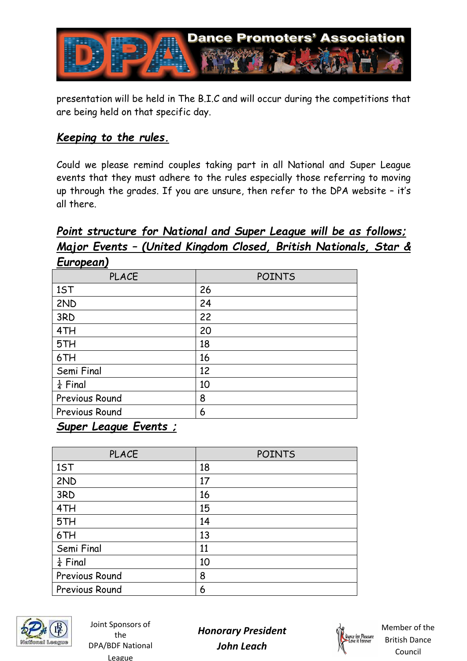

presentation will be held in The B.I.C and will occur during the competitions that are being held on that specific day.

#### *Keeping to the rules.*

Could we please remind couples taking part in all National and Super League events that they must adhere to the rules especially those referring to moving up through the grades. If you are unsure, then refer to the DPA website – it's all there.

# *Point structure for National and Super League will be as follows; Major Events – (United Kingdom Closed, British Nationals, Star & European)*

| <b>POINTS</b> |
|---------------|
| 26            |
| 24            |
| 22            |
| 20            |
| 18            |
| 16            |
| 12            |
| 10            |
| 8             |
| 6             |
|               |

#### *Super League Events ;*

| <b>PLACE</b>        | <b>POINTS</b> |
|---------------------|---------------|
| 1ST                 | 18            |
| 2ND                 | 17            |
| 3RD                 | 16            |
| 4TH                 | 15            |
| 5TH                 | 14            |
| 6TH                 | 13            |
| Semi Final          | 11            |
| $\frac{1}{4}$ Final | 10            |
| Previous Round      | 8             |
| Previous Round      | 6             |



Joint Sponsors of the DPA/BDF National League

*Honorary President John Leach* 

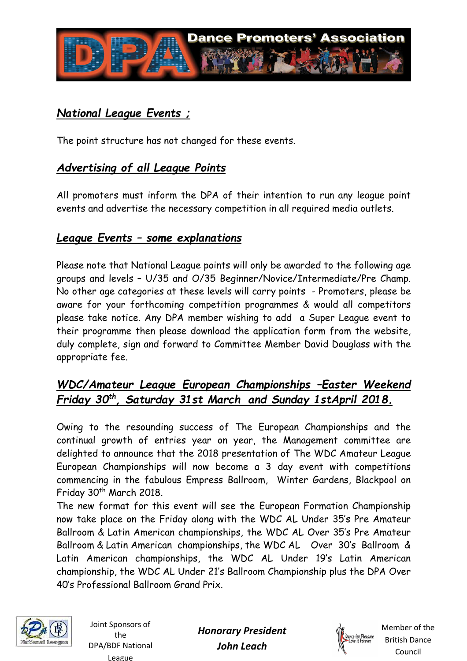

# *National League Events ;*

The point structure has not changed for these events.

# *Advertising of all League Points*

All promoters must inform the DPA of their intention to run any league point events and advertise the necessary competition in all required media outlets.

#### *League Events – some explanations*

Please note that National League points will only be awarded to the following age groups and levels – U/35 and O/35 Beginner/Novice/Intermediate/Pre Champ. No other age categories at these levels will carry points - Promoters, please be aware for your forthcoming competition programmes & would all competitors please take notice. Any DPA member wishing to add a Super League event to their programme then please download the application form from the website, duly complete, sign and forward to Committee Member David Douglass with the appropriate fee.

# *WDC/Amateur League European Championships –Easter Weekend Friday 30th, Saturday 31st March and Sunday 1stApril 2018.*

Owing to the resounding success of The European Championships and the continual growth of entries year on year, the Management committee are delighted to announce that the 2018 presentation of The WDC Amateur League European Championships will now become a 3 day event with competitions commencing in the fabulous Empress Ballroom, Winter Gardens, Blackpool on Friday 30<sup>th</sup> March 2018.

The new format for this event will see the European Formation Championship now take place on the Friday along with the WDC AL Under 35's Pre Amateur Ballroom & Latin American championships, the WDC AL Over 35's Pre Amateur Ballroom & Latin American championships, the WDC AL Over 30's Ballroom & Latin American championships, the WDC AL Under 19's Latin American championship, the WDC AL Under 21's Ballroom Championship plus the DPA Over 40's Professional Ballroom Grand Prix.



Joint Sponsors of the DPA/BDF National League

*Honorary President John Leach* 

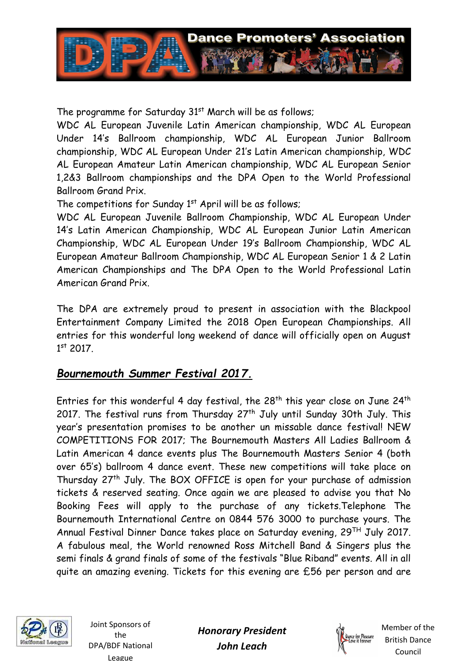

The programme for Saturday 31<sup>st</sup> March will be as follows;

WDC AL European Juvenile Latin American championship, WDC AL European Under 14's Ballroom championship, WDC AL European Junior Ballroom championship, WDC AL European Under 21's Latin American championship, WDC AL European Amateur Latin American championship, WDC AL European Senior 1,2&3 Ballroom championships and the DPA Open to the World Professional Ballroom Grand Prix.

The competitions for Sunday  $1<sup>st</sup>$  April will be as follows;

WDC AL European Juvenile Ballroom Championship, WDC AL European Under 14's Latin American Championship, WDC AL European Junior Latin American Championship, WDC AL European Under 19's Ballroom Championship, WDC AL European Amateur Ballroom Championship, WDC AL European Senior 1 & 2 Latin American Championships and The DPA Open to the World Professional Latin American Grand Prix.

The DPA are extremely proud to present in association with the Blackpool Entertainment Company Limited the 2018 Open European Championships. All entries for this wonderful long weekend of dance will officially open on August 1 st 2017.

# *Bournemouth Summer Festival 2017.*

Entries for this wonderful 4 day festival, the 28<sup>th</sup> this year close on June 24<sup>th</sup> 2017. The festival runs from Thursday 27<sup>th</sup> July until Sunday 30th July. This year's presentation promises to be another un missable dance festival! NEW COMPETITIONS FOR 2017; The Bournemouth Masters All Ladies Ballroom & Latin American 4 dance events plus The Bournemouth Masters Senior 4 (both over 65's) ballroom 4 dance event. These new competitions will take place on Thursday 27<sup>th</sup> July. The BOX OFFICE is open for your purchase of admission tickets & reserved seating. Once again we are pleased to advise you that No Booking Fees will apply to the purchase of any tickets.Telephone The Bournemouth International Centre on 0844 576 3000 to purchase yours. The Annual Festival Dinner Dance takes place on Saturday evening, 29TH July 2017. A fabulous meal, the World renowned Ross Mitchell Band & Singers plus the semi finals & grand finals of some of the festivals "Blue Riband" events. All in all quite an amazing evening. Tickets for this evening are £56 per person and are



Joint Sponsors of the DPA/BDF National League

*Honorary President John Leach* 

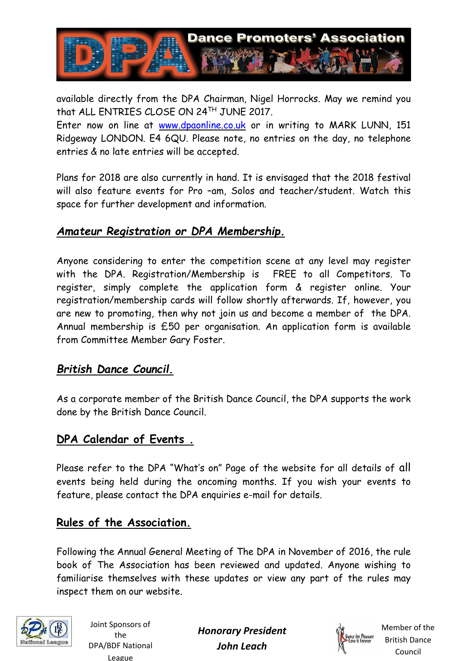

available directly from the DPA Chairman, Nigel Horrocks. May we remind you that ALL ENTRIES CLOSE ON 24TH JUNE 2017.

Enter now on line at www.dpaonline.co.uk or in writing to MARK LUNN, 151 Ridgeway LONDON. E4 6QU. Please note, no entries on the day, no telephone entries & no late entries will be accepted.

Plans for 2018 are also currently in hand. It is envisaged that the 2018 festival will also feature events for Pro –am, Solos and teacher/student. Watch this space for further development and information.

# *Amateur Registration or DPA Membership.*

Anyone considering to enter the competition scene at any level may register with the DPA. Registration/Membership is FREE to all Competitors. To register, simply complete the application form & register online. Your registration/membership cards will follow shortly afterwards. If, however, you are new to promoting, then why not join us and become a member of the DPA. Annual membership is £50 per organisation. An application form is available from Committee Member Gary Foster.

#### *British Dance Council.*

As a corporate member of the British Dance Council, the DPA supports the work done by the British Dance Council.

#### **DPA Calendar of Events .**

Please refer to the DPA "What's on" Page of the website for all details of all events being held during the oncoming months. If you wish your events to feature, please contact the DPA enquiries e-mail for details.

# **Rules of the Association.**

Following the Annual General Meeting of The DPA in November of 2016, the rule book of The Association has been reviewed and updated. Anyone wishing to familiarise themselves with these updates or view any part of the rules may inspect them on our website.



Joint Sponsors of the DPA/BDF National League

*Honorary President John Leach*